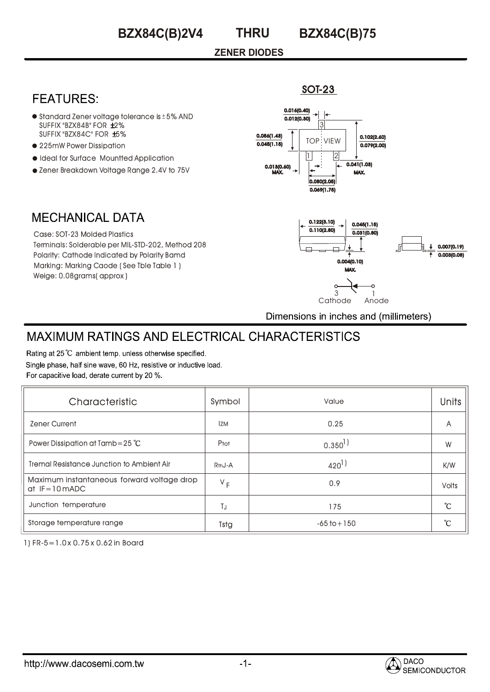**BZX84C(B)2V4**

# **THRU**

**BZX84C(B)75**

SOT-23

#### **ZENER DIODES**

## **FEATURES:**

- $\bullet$  Standard Zener voltage tolerance is  $\pm$  5% AND  $SUFFIX "BZX84B" FOR  $\pm 2\%$$ SUFFIX "BZX84C" FOR ±5%
- 225mW Power Dissipation
- $\bullet$  Ideal for Surface Mountted Application
- Zener Breakdown Voltage Range 2.4V to 75V



## **MECHANICAL DATA**

Case: SOT-23 Molded Plastics Terminals: Solderable per MIL-STD-202, Method 208 Polarity: Cathode Indicated by Polarity Bamd Marking: Marking Caode ( See Tble Table 1 ) Weige: 0.08grams( approx )



Dimensions in inches and (millimeters)

# **MAXIMUM RATINGS AND ELECTRICAL CHARACTERISTICS**

Rating at 25 °C ambient temp. unless otherwise specified. Single phase, half sine wave, 60 Hz, resistive or inductive load. For capacitive load, derate current by 20 %.

| Characteristic                                                | Symbol              | Value           | <b>Units</b> |
|---------------------------------------------------------------|---------------------|-----------------|--------------|
| <b>Zener Current</b>                                          | <b>IZM</b>          | 0.25            | A            |
| Power Dissipation at Tamb=25 $°C$                             | Ptot                | $0.350^{1}$     | W            |
| <b>Tremal Resistance Junction to Ambient Air</b>              | R <sub>th</sub> J-A | $420^{1}$       | K/W          |
| Maximum instantaneous forward voltage drop<br>$at$ IF=10 mADC | $V_F$               | 0.9             | <b>Volts</b> |
| Junction temperature                                          | TJ                  | 175             | °C           |
| Storage temperature range                                     | Tstg                | $-65$ to $+150$ | °C           |

1) FR-5=1.0 x 0.75 x 0.62 in Board

http://www.dacosemi.com.tw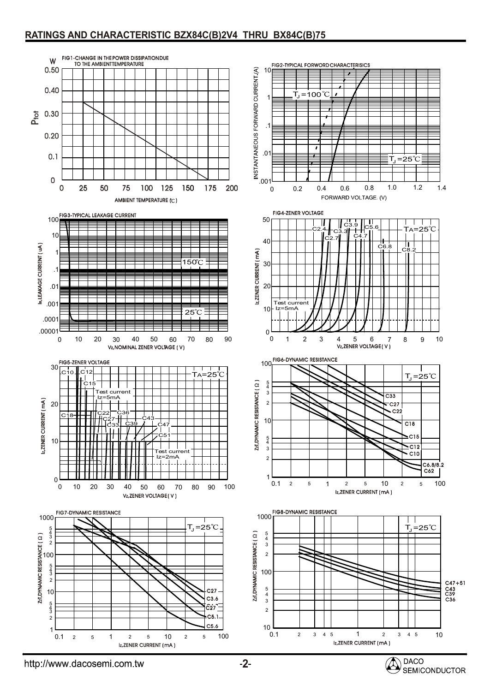#### **RATINGS AND CHARACTERISTIC BZX84C(B)2V4 THRU BX84C(B)75**



http://www.dacosemi.com.tw

SEMICONDUCTOR